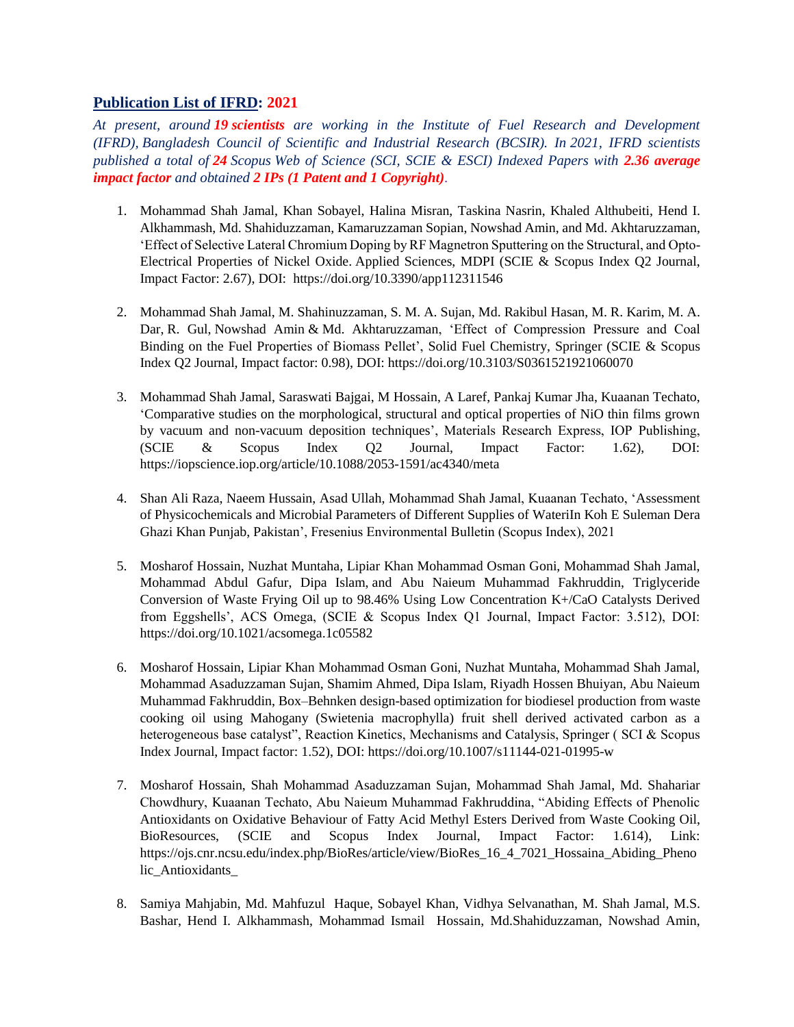## **Publication List of IFRD: 2021**

*At present, around 19 scientists are working in the Institute of Fuel Research and Development (IFRD), Bangladesh Council of Scientific and Industrial Research (BCSIR). In 2021, IFRD scientists published a total of 24 Scopus Web of Science (SCI, SCIE & ESCI) Indexed Papers with 2.36 average impact factor and obtained 2 IPs (1 Patent and 1 Copyright).*

- 1. Mohammad Shah Jamal, [Khan Sobayel,](https://sciprofiles.com/profile/1298533) [Halina Misran,](https://sciprofiles.com/profile/1530837) [Taskina Nasrin,](https://sciprofiles.com/profile/1937120) [Khaled Althubeiti,](https://sciprofiles.com/profile/1691132) [Hend I.](https://sciprofiles.com/profile/author/N3FvcTJDaGwybDR2RWZYM1ZBelBUcEMxY2pUZDMrMXBjdEl0NmdwcHBCbz0=)  [Alkhammash,](https://sciprofiles.com/profile/author/N3FvcTJDaGwybDR2RWZYM1ZBelBUcEMxY2pUZDMrMXBjdEl0NmdwcHBCbz0=) [Md. Shahiduzzaman,](https://sciprofiles.com/profile/author/NGhYRkpQRkw1WFQ1cDJUT2t5VGhUdllZbFR5RU5HYzdxTFM3MEJSUDlJbzFrTERaUUFtWDhmbUNoOHppemM1Ug==) [Kamaruzzaman Sopian,](https://sciprofiles.com/profile/author/WU5PbS84YmZaU2dHOE10YUg5a3NYVEV1MTEreXBkaEk0ZVFISXJNZXRLMD0=) [Nowshad Amin,](https://sciprofiles.com/profile/168180) and [Md. Akhtaruzzaman,](https://sciprofiles.com/profile/891909) 'Effect of Selective Lateral Chromium Doping by RF Magnetron Sputtering on the Structural, and Opto-Electrical Properties of Nickel Oxide. Applied Sciences, MDPI (SCIE & Scopus Index Q2 Journal, Impact Factor: 2.67), DOI: <https://doi.org/10.3390/app112311546>
- 2. Mohammad Shah Jamal, [M. Shahinuzzaman,](https://link.springer.com/article/10.3103%2FS0361521921060070#auth-M_-Shahinuzzaman) [S. M. A. Sujan,](https://link.springer.com/article/10.3103%2FS0361521921060070#auth-S__M__A_-Sujan) [Md. Rakibul Hasan,](https://link.springer.com/article/10.3103%2FS0361521921060070#auth-Md__Rakibul-Hasan) [M. R. Karim,](https://link.springer.com/article/10.3103%2FS0361521921060070#auth-M__R_-Karim) [M. A.](https://link.springer.com/article/10.3103%2FS0361521921060070#auth-M__A_-Dar)  [Dar,](https://link.springer.com/article/10.3103%2FS0361521921060070#auth-M__A_-Dar) [R. Gul,](https://link.springer.com/article/10.3103%2FS0361521921060070#auth-R_-Gul) [Nowshad Amin](https://link.springer.com/article/10.3103%2FS0361521921060070#auth-Nowshad-Amin) & [Md. Akhtaruzzaman,](https://link.springer.com/article/10.3103%2FS0361521921060070#auth-Md_-Akhtaruzzaman) 'Effect of Compression Pressure and Coal Binding on the Fuel Properties of Biomass Pellet', [Solid Fuel Chemistry,](https://link.springer.com/journal/11985) Springer (SCIE & Scopus Index Q2 Journal, Impact factor: 0.98), DOI:<https://doi.org/10.3103/S0361521921060070>
- 3. Mohammad Shah Jamal, Saraswati Bajgai, M Hossain, A Laref, Pankaj Kumar Jha, Kuaanan Techato, ['Comparative studies on the morphological, structural and optical properties of NiO thin films grown](https://scholar.google.com/scholar?oi=bibs&cluster=2934575776260512023&btnI=1&hl=en)  [by vacuum and non-vacuum deposition techniques'](https://scholar.google.com/scholar?oi=bibs&cluster=2934575776260512023&btnI=1&hl=en), Materials Research Express, IOP Publishing, (SCIE & Scopus Index Q2 Journal, Impact Factor: 1.62), DOI: <https://iopscience.iop.org/article/10.1088/2053-1591/ac4340/meta>
- 4. Shan Ali Raza, Naeem Hussain, Asad Ullah, Mohammad Shah Jamal, Kuaanan Techato, ['Assessment](https://scholar.google.com/scholar?oi=bibs&cluster=7175731787715083374&btnI=1&hl=en)  [of Physicochemicals and Microbial Parameters of Different Supplies of WateriIn Koh E Suleman Dera](https://scholar.google.com/scholar?oi=bibs&cluster=7175731787715083374&btnI=1&hl=en)  [Ghazi Khan Punjab, Pakistan'](https://scholar.google.com/scholar?oi=bibs&cluster=7175731787715083374&btnI=1&hl=en), Fresenius Environmental Bulletin (Scopus Index), 2021
- 5. Mosharof Hossain, Nuzhat Muntaha, Lipiar Khan Mohammad Osman Goni, Mohammad Shah Jamal, Mohammad Abdul Gafur, Dipa Islam, and Abu Naieum Muhammad Fakhruddin, Triglyceride Conversion of Waste Frying Oil up to 98.46% Using Low Concentration K+/CaO Catalysts Derived from Eggshells', ACS Omega, (SCIE & Scopus Index Q1 Journal, Impact Factor: 3.512), DOI: <https://doi.org/10.1021/acsomega.1c05582>
- 6. Mosharof Hossain, Lipiar Khan Mohammad Osman Goni, Nuzhat Muntaha, Mohammad Shah Jamal, Mohammad Asaduzzaman Sujan, Shamim Ahmed, Dipa Islam, Riyadh Hossen Bhuiyan, Abu Naieum Muhammad Fakhruddin, Box–Behnken design-based optimization for biodiesel production from waste cooking oil using Mahogany (Swietenia macrophylla) fruit shell derived activated carbon as a heterogeneous base catalyst", Reaction Kinetics, Mechanisms and Catalysis, Springer (SCI & Scopus Index Journal, Impact factor: 1.52), DOI: [https://doi.org/10.1007/s11144-021-01995-w](https://doi.org/10.1007/s11144-021-01995-w?fbclid=IwAR1OfI6Ol9SC-nHzktkhHSLOLDUU0g8yDVghhteDLMkJ4mviOKjKH_4HWXk)
- 7. Mosharof Hossain, Shah Mohammad Asaduzzaman Sujan, Mohammad Shah Jamal, Md. Shahariar Chowdhury, Kuaanan Techato, Abu Naieum Muhammad Fakhruddina, "Abiding Effects of Phenolic Antioxidants on Oxidative Behaviour of Fatty Acid Methyl Esters Derived from Waste Cooking Oil, BioResources, (SCIE and Scopus Index Journal, Impact Factor: 1.614), Link: https://ojs.cnr.ncsu.edu/index.php/BioRes/article/view/BioRes 16 4 7021 Hossaina Abiding Pheno lic\_Antioxidants
- 8. [Samiya Mahjabin,](https://www.sciencedirect.com/science/article/abs/pii/S0038092X21003959#!) [Md. Mahfuzul Haque,](https://www.sciencedirect.com/science/article/abs/pii/S0038092X21003959#!) [Sobayel Khan,](https://www.sciencedirect.com/science/article/abs/pii/S0038092X21003959#!) [Vidhya Selvanathan,](https://www.sciencedirect.com/science/article/abs/pii/S0038092X21003959#!) [M. Shah Jamal,](https://www.sciencedirect.com/science/article/abs/pii/S0038092X21003959#!) [M.S.](https://www.sciencedirect.com/science/article/abs/pii/S0038092X21003959#!)  [Bashar,](https://www.sciencedirect.com/science/article/abs/pii/S0038092X21003959#!) [Hend I. Alkhammash,](https://www.sciencedirect.com/science/article/abs/pii/S0038092X21003959#!) [Mohammad Ismail Hossain,](https://www.sciencedirect.com/science/article/abs/pii/S0038092X21003959#!) [Md.Shahiduzzaman,](https://www.sciencedirect.com/science/article/abs/pii/S0038092X21003959#!) [Nowshad Amin,](https://www.sciencedirect.com/science/article/abs/pii/S0038092X21003959#!)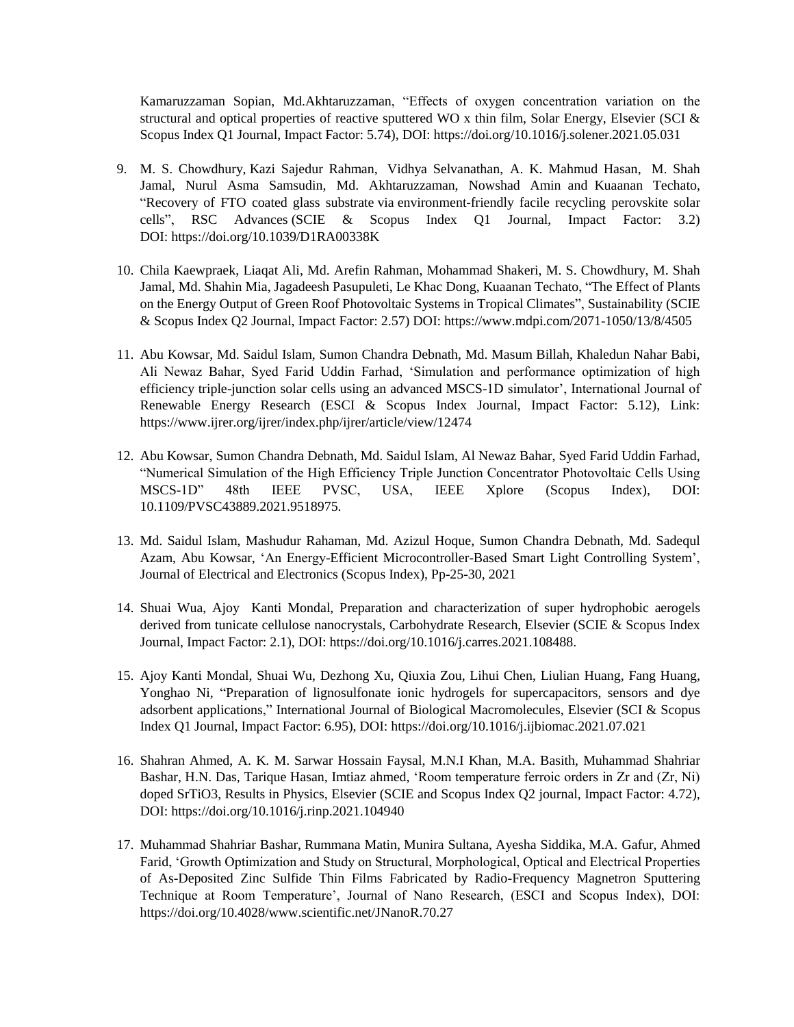[Kamaruzzaman Sopian,](https://www.sciencedirect.com/science/article/abs/pii/S0038092X21003959#!) [Md.Akhtaruzzaman,](https://www.sciencedirect.com/science/article/abs/pii/S0038092X21003959#!) "Effects of oxygen concentration variation on the structural and optical properties of reactive sputtered WO x thin film, Solar Energy, Elsevier (SCI  $\&$ Scopus Index Q1 Journal, Impact Factor: 5.74), DOI[: https://doi.org/10.1016/j.solener.2021.05.031](https://doi.org/10.1016/j.solener.2021.05.031)

- 9. [M. S. Chowdhury,](https://pubs.rsc.org/en/results?searchtext=Author%3AM.%20S.%20Chowdhury) [Kazi Sajedur Rahman,](https://pubs.rsc.org/en/results?searchtext=Author%3AKazi%20Sajedur%20Rahman) [Vidhya Selvanathan,](https://pubs.rsc.org/en/results?searchtext=Author%3AVidhya%20Selvanathan) [A. K. Mahmud Hasan,](https://pubs.rsc.org/en/results?searchtext=Author%3AA.%20K.%20Mahmud%20Hasan) [M. Shah](https://pubs.rsc.org/en/results?searchtext=Author%3AM.%20S.%20Jamal)  [Jamal,](https://pubs.rsc.org/en/results?searchtext=Author%3AM.%20S.%20Jamal) [Nurul Asma Samsudin,](https://pubs.rsc.org/en/results?searchtext=Author%3ANurul%20Asma%20Samsudin) [Md. Akhtaruzzaman,](https://pubs.rsc.org/en/results?searchtext=Author%3AMd.%20Akhtaruzzaman) [Nowshad Amin](https://pubs.rsc.org/en/results?searchtext=Author%3ANowshad%20Amin) and [Kuaanan Techato,](https://pubs.rsc.org/en/results?searchtext=Author%3AKuaanan%20Techato) "Recovery of FTO coated glass substrate via environment-friendly facile recycling perovskite solar cells", RSC Advances (SCIE & Scopus Index Q1 Journal, Impact Factor: 3.2) DOI: [https://doi.org/10.1039/D1RA00338K](https://l.facebook.com/l.php?u=https%3A%2F%2Fdoi.org%2F10.1039%2FD1RA00338K%3Ffbclid%3DIwAR3cPqT0OC53xPc2SlKQyxnlEjfGFtgxXuvQlGO3CFGKbp8gDMX2vypw1EI&h=AT3VQZro2KIQEXoROXQEDPKj_k32XPA_heEUuUyaVVO_HSOJfsq7mYboE6bCUgbat_TTjKnbmKOys4yt6KU1cFYrsvBAoJwSPaF3pSZzWbcv5RWo6oyZE9yz2XDOKWHzbuUR&__tn__=-UK-R&c%5b0%5d=AT0ZQncxpQDUAg_KWfS10SA1FR036nZQ6hbP1tsMgDEKF5fglGJWpmir0c63rQltIY56M7Lw8mywEjhXdKr5CvhMu9vDRAfoHPPquoITwkvwO8K5asLxSzvYu1BzQ8EdsGINiSLCX8XomEmuFUC_SDcF2GuChnmdqESVMs6S5jSWVSVO6UFprRN8ETiU21AT0eaDBbWWE-yTdJfWSw)
- 10. [Chila Kaewpraek,](https://sciprofiles.com/profile/author/eHJpR0pVc2NxcGxyOXgzUndwd3FwRklpR1lzU0p1VmRtZi9HeVJvZkpKcz0=) [Liaqat Ali,](https://sciprofiles.com/profile/1487497) [Md. Arefin Rahman,](https://sciprofiles.com/profile/author/V0c4MTZmR3JxNEtsZXltVjJIRVowLzNxRDE0VkZ3dWhDWEZncWUray95cz0=) [Mohammad Shakeri,](https://sciprofiles.com/profile/1039449) [M. S. Chowdhury,](https://sciprofiles.com/profile/1562332) [M. Shah](https://sciprofiles.com/profile/author/cWk1ZEpCOWhqVHdHU0UwTHRYNEw0OHNOdjAxd09uaHRzb1I2R0JPTjM1OD0=)  [Jamal,](https://sciprofiles.com/profile/author/cWk1ZEpCOWhqVHdHU0UwTHRYNEw0OHNOdjAxd09uaHRzb1I2R0JPTjM1OD0=) [Md. Shahin Mia,](https://sciprofiles.com/profile/545437) [Jagadeesh Pasupuleti,](https://sciprofiles.com/profile/1110094) [Le Khac Dong,](https://sciprofiles.com/profile/395438) [Kuaanan Techato,](https://sciprofiles.com/profile/411647) "The Effect of Plants on the Energy Output of Green Roof Photovoltaic Systems in Tropical Climates", Sustainability (SCIE & Scopus Index Q2 Journal, Impact Factor: 2.57) DOI: [https://www.mdpi.com/2071-1050/13/8/4505](https://www.mdpi.com/2071-1050/13/8/4505?fbclid=IwAR1e5Y4DN51extXIgIhMCvxKLwhkazbWWOr1JY6I8PaoyAY02XFV6JU0qAQ)
- 11. Abu Kowsar, Md. Saidul Islam, Sumon Chandra Debnath, Md. Masum Billah, Khaledun Nahar Babi, Ali Newaz Bahar, Syed Farid Uddin Farhad, 'Simulation and performance optimization of high efficiency triple-junction solar cells using an advanced MSCS-1D simulator', International Journal of Renewable Energy Research (ESCI & Scopus Index Journal, Impact Factor: 5.12), Link: <https://www.ijrer.org/ijrer/index.php/ijrer/article/view/12474>
- 12. Abu Kowsar, Sumon Chandra Debnath, Md. Saidul Islam, Al Newaz Bahar, Syed Farid Uddin Farhad, "Numerical Simulation of the High Efficiency Triple Junction Concentrator Photovoltaic Cells Using MSCS-1D" 48th IEEE PVSC, USA, IEEE Xplore (Scopus Index), DOI: [10.1109/PVSC43889.2021.9518975.](https://doi.org/10.1109/PVSC43889.2021.9518975)
- 13. Md. Saidul Islam, Mashudur Rahaman, Md. Azizul Hoque, Sumon Chandra Debnath, Md. Sadequl Azam, Abu Kowsar, ['An Energy-Efficient Microcontroller-Based Smart Light Controlling System'](http://electroinf.uoradea.ro/images/articles/CERCETARE/Reviste/JEEE/JEEE_V14_N2_OCT_2021/4%20JEEE%20ISLAM%20Md%20Saidul.pdf), Journal of Electrical and Electronics (Scopus Index), Pp-25-30, 2021
- 14. [Shuai Wua, Ajoy Kanti Mondal, P](https://www.sciencedirect.com/science/article/abs/pii/S0008621521002573?via%3Dihub#!)reparation and characterization of super hydrophobic aerogels derived from tunicate cellulose nanocrystals, [Carbohydrate Research,](https://www.sciencedirect.com/science/journal/00086215) Elsevier (SCIE & Scopus Index Journal, Impact Factor: 2.1), DOI: [https://doi.org/10.1016/j.carres.2021.108488.](https://doi.org/10.1016/j.carres.2021.108488)
- 15. [Ajoy Kanti Mondal,](https://www.sciencedirect.com/science/article/abs/pii/S0141813021014574#!) [Shuai Wu,](https://www.sciencedirect.com/science/article/abs/pii/S0141813021014574#!) [Dezhong Xu,](https://www.sciencedirect.com/science/article/abs/pii/S0141813021014574#!) [Qiuxia Zou,](https://www.sciencedirect.com/science/article/abs/pii/S0141813021014574#!) [Lihui Chen,](https://www.sciencedirect.com/science/article/abs/pii/S0141813021014574#!) [Liulian Huang,](https://www.sciencedirect.com/science/article/abs/pii/S0141813021014574#!) [Fang Huang,](https://www.sciencedirect.com/science/article/abs/pii/S0141813021014574#!) [Yonghao Ni,](https://www.sciencedirect.com/science/article/abs/pii/S0141813021014574#!) "Preparation of lignosulfonate ionic hydrogels for supercapacitors, sensors and dye adsorbent applications," [International Journal of Biological Macromolecules,](https://www.sciencedirect.com/science/journal/01418130) Elsevier (SCI & Scopus Index Q1 Journal, Impact Factor: 6.95), DOI: <https://doi.org/10.1016/j.ijbiomac.2021.07.021>
- 16. [Shahran Ahmed, A. K. M. Sarwar Hossain Faysal, M.N.I Khan, M.A. Basith, Muhammad Shahriar](https://www.sciencedirect.com/science/article/pii/S2211379721009633?via%3Dihub&__cf_chl_captcha_tk__=pmd_IxL3eK7lw.l_mKABv5hGTJZYmL3rOF4qB7pHPUmvnxo-1635744578-0-gqNtZGzNAyWjcnBszQxR#!)  [Bashar, H.N. Das, Tarique Hasan, Imtiaz ahmed, '](https://www.sciencedirect.com/science/article/pii/S2211379721009633?via%3Dihub&__cf_chl_captcha_tk__=pmd_IxL3eK7lw.l_mKABv5hGTJZYmL3rOF4qB7pHPUmvnxo-1635744578-0-gqNtZGzNAyWjcnBszQxR#!)Room temperature ferroic orders in Zr and (Zr, Ni) doped SrTiO3, [Results in Physics,](https://www.sciencedirect.com/science/journal/22113797) Elsevier (SCIE and Scopus Index Q2 journal, Impact Factor: 4.72), DOI:<https://doi.org/10.1016/j.rinp.2021.104940>
- 17. [Muhammad Shahriar Bashar,](https://www.scientific.net/author-papers/muhammad-shahriar-bashar) [Rummana Matin,](https://www.scientific.net/author-papers/rummana-matin) [Munira Sultana,](https://www.scientific.net/author-papers/munira-sultana) [Ayesha Siddika,](https://www.scientific.net/author-papers/ayesha-siddika) [M.A. Gafur,](https://www.scientific.net/author-papers/m-a-gafur) [Ahmed](https://www.scientific.net/author-papers/ahmed-farid)  [Farid,](https://www.scientific.net/author-papers/ahmed-farid) 'Growth Optimization and Study on Structural, Morphological, Optical and Electrical Properties of As-Deposited Zinc Sulfide Thin Films Fabricated by Radio-Frequency Magnetron Sputtering Technique at Room Temperature', Journal of Nano Research, (ESCI and Scopus Index), DOI: <https://doi.org/10.4028/www.scientific.net/JNanoR.70.27>